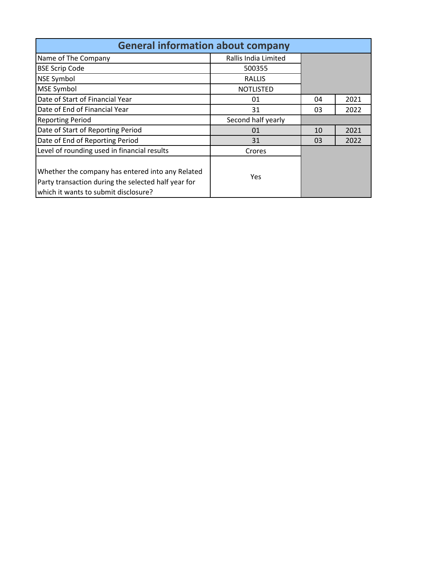| <b>General information about company</b>                                                                                                        |                      |    |      |  |  |  |  |  |  |  |
|-------------------------------------------------------------------------------------------------------------------------------------------------|----------------------|----|------|--|--|--|--|--|--|--|
| Name of The Company                                                                                                                             | Rallis India Limited |    |      |  |  |  |  |  |  |  |
| <b>BSE Scrip Code</b>                                                                                                                           | 500355               |    |      |  |  |  |  |  |  |  |
| <b>NSE Symbol</b>                                                                                                                               | <b>RALLIS</b>        |    |      |  |  |  |  |  |  |  |
| <b>MSE Symbol</b>                                                                                                                               | <b>NOTLISTED</b>     |    |      |  |  |  |  |  |  |  |
| Date of Start of Financial Year                                                                                                                 | 01                   | 04 | 2021 |  |  |  |  |  |  |  |
| Date of End of Financial Year                                                                                                                   | 31                   | 03 | 2022 |  |  |  |  |  |  |  |
| <b>Reporting Period</b>                                                                                                                         | Second half yearly   |    |      |  |  |  |  |  |  |  |
| Date of Start of Reporting Period                                                                                                               | 01                   | 10 | 2021 |  |  |  |  |  |  |  |
| Date of End of Reporting Period                                                                                                                 | 31                   | 03 | 2022 |  |  |  |  |  |  |  |
| Level of rounding used in financial results                                                                                                     | Crores               |    |      |  |  |  |  |  |  |  |
| Whether the company has entered into any Related<br>Party transaction during the selected half year for<br>which it wants to submit disclosure? | Yes                  |    |      |  |  |  |  |  |  |  |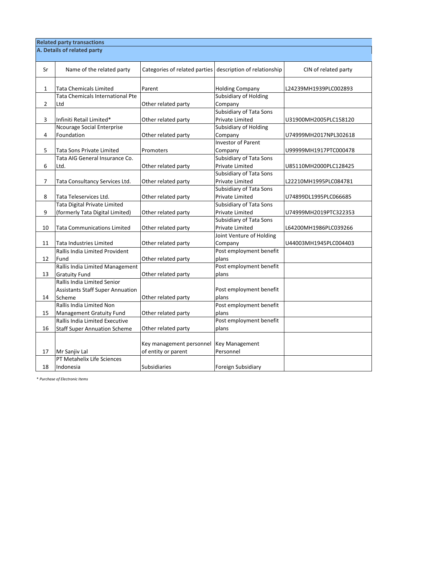| <b>Related party transactions</b> |                                                                 |                                                           |                                                   |                       |  |  |  |  |  |  |
|-----------------------------------|-----------------------------------------------------------------|-----------------------------------------------------------|---------------------------------------------------|-----------------------|--|--|--|--|--|--|
|                                   | A. Details of related party                                     |                                                           |                                                   |                       |  |  |  |  |  |  |
|                                   |                                                                 |                                                           |                                                   |                       |  |  |  |  |  |  |
| Sr                                | Name of the related party                                       | Categories of related parties description of relationship |                                                   | CIN of related party  |  |  |  |  |  |  |
| 1                                 | <b>Tata Chemicals Limited</b>                                   | Parent                                                    | <b>Holding Company</b>                            | L24239MH1939PLC002893 |  |  |  |  |  |  |
| $\overline{2}$                    | <b>Tata Chemicals International Pte</b><br>Ltd                  | Other related party                                       | <b>Subsidiary of Holding</b><br>Company           |                       |  |  |  |  |  |  |
| 3                                 | Infiniti Retail Limited*                                        | Other related party                                       | <b>Subsidiary of Tata Sons</b><br>Private Limited | U31900MH2005PLC158120 |  |  |  |  |  |  |
| 4                                 | Ncourage Social Enterprise<br>Foundation                        | Other related party                                       | <b>Subsidiary of Holding</b><br>Company           | U74999MH2017NPL302618 |  |  |  |  |  |  |
| 5                                 | <b>Tata Sons Private Limited</b>                                | Promoters                                                 | Investor of Parent<br>Company                     | U99999MH1917PTC000478 |  |  |  |  |  |  |
| 6                                 | Tata AIG General Insurance Co.<br>Ltd.                          | Other related party                                       | <b>Subsidiary of Tata Sons</b><br>Private Limited | U85110MH2000PLC128425 |  |  |  |  |  |  |
| $\overline{7}$                    | Tata Consultancy Services Ltd.                                  | Other related party                                       | Subsidiary of Tata Sons<br>Private Limited        | L22210MH1995PLC084781 |  |  |  |  |  |  |
|                                   |                                                                 |                                                           | <b>Subsidiary of Tata Sons</b>                    |                       |  |  |  |  |  |  |
| 8                                 | Tata Teleservices Ltd.                                          | Other related party                                       | Private Limited                                   | U74899DL1995PLC066685 |  |  |  |  |  |  |
| 9                                 | Tata Digital Private Limited<br>(formerly Tata Digital Limited) | Other related party                                       | Subsidiary of Tata Sons<br>Private Limited        | U74999MH2019PTC322353 |  |  |  |  |  |  |
|                                   |                                                                 |                                                           | Subsidiary of Tata Sons                           |                       |  |  |  |  |  |  |
| 10                                | <b>Tata Communications Limited</b>                              | Other related party                                       | Private Limited                                   | L64200MH1986PLC039266 |  |  |  |  |  |  |
| 11                                | <b>Tata Industries Limited</b>                                  | Other related party                                       | Joint Venture of Holding<br>Company               | U44003MH1945PLC004403 |  |  |  |  |  |  |
|                                   | Rallis India Limited Provident                                  |                                                           | Post employment benefit                           |                       |  |  |  |  |  |  |
| 12                                | Fund                                                            | Other related party                                       | plans                                             |                       |  |  |  |  |  |  |
|                                   | Rallis India Limited Management                                 |                                                           | Post employment benefit                           |                       |  |  |  |  |  |  |
| 13                                | <b>Gratuity Fund</b><br>Rallis India Limited Senior             | Other related party                                       | plans                                             |                       |  |  |  |  |  |  |
|                                   | <b>Assistants Staff Super Annuation</b>                         |                                                           | Post employment benefit                           |                       |  |  |  |  |  |  |
| 14                                | Scheme                                                          | Other related party                                       | plans                                             |                       |  |  |  |  |  |  |
|                                   | Rallis India Limited Non                                        |                                                           | Post employment benefit                           |                       |  |  |  |  |  |  |
| 15                                | Management Gratuity Fund                                        | Other related party                                       | plans                                             |                       |  |  |  |  |  |  |
|                                   | Rallis India Limited Executive                                  |                                                           | Post employment benefit                           |                       |  |  |  |  |  |  |
| 16                                | <b>Staff Super Annuation Scheme</b>                             | Other related party                                       | plans                                             |                       |  |  |  |  |  |  |
|                                   |                                                                 | Key management personnel                                  | <b>Key Management</b>                             |                       |  |  |  |  |  |  |
| 17                                | Mr Sanjiv Lal                                                   | of entity or parent                                       | Personnel                                         |                       |  |  |  |  |  |  |
|                                   | PT Metahelix Life Sciences                                      |                                                           |                                                   |                       |  |  |  |  |  |  |
| 18                                | Indonesia                                                       | <b>Subsidiaries</b>                                       | Foreign Subsidiary                                |                       |  |  |  |  |  |  |

\* *Purchase of Electronic Items*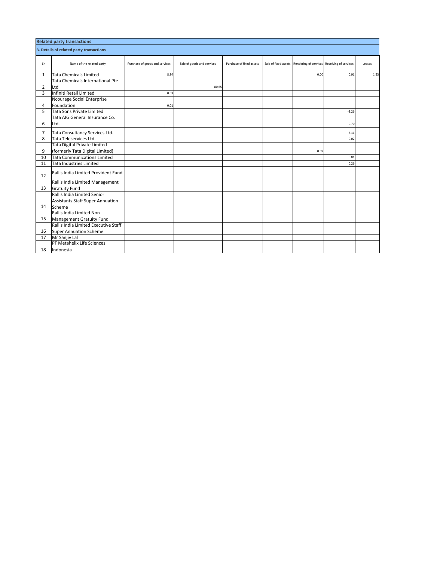| Name of the related party               | Purchase of goods and services                                                                                                                                                                                                                                                                                                                                                                                                                                                                         | Sale of goods and services | Purchase of fixed assets |      |         | Leases                                                           |
|-----------------------------------------|--------------------------------------------------------------------------------------------------------------------------------------------------------------------------------------------------------------------------------------------------------------------------------------------------------------------------------------------------------------------------------------------------------------------------------------------------------------------------------------------------------|----------------------------|--------------------------|------|---------|------------------------------------------------------------------|
| <b>Tata Chemicals Limited</b>           | 8.84                                                                                                                                                                                                                                                                                                                                                                                                                                                                                                   |                            |                          | 0.00 | 0.91    | 1.53                                                             |
| <b>Tata Chemicals International Pte</b> |                                                                                                                                                                                                                                                                                                                                                                                                                                                                                                        |                            |                          |      |         |                                                                  |
| Ltd                                     |                                                                                                                                                                                                                                                                                                                                                                                                                                                                                                        | 80.65                      |                          |      |         |                                                                  |
|                                         | 0.03                                                                                                                                                                                                                                                                                                                                                                                                                                                                                                   |                            |                          |      |         |                                                                  |
| Ncourage Social Enterprise              |                                                                                                                                                                                                                                                                                                                                                                                                                                                                                                        |                            |                          |      |         |                                                                  |
| Foundation                              | 0.01                                                                                                                                                                                                                                                                                                                                                                                                                                                                                                   |                            |                          |      |         |                                                                  |
| <b>Tata Sons Private Limited</b>        |                                                                                                                                                                                                                                                                                                                                                                                                                                                                                                        |                            |                          |      | $-3.26$ |                                                                  |
| Tata AIG General Insurance Co.          |                                                                                                                                                                                                                                                                                                                                                                                                                                                                                                        |                            |                          |      |         |                                                                  |
| Ltd.                                    |                                                                                                                                                                                                                                                                                                                                                                                                                                                                                                        |                            |                          |      | 0.70    |                                                                  |
| Tata Consultancy Services Ltd.          |                                                                                                                                                                                                                                                                                                                                                                                                                                                                                                        |                            |                          |      | 3.11    |                                                                  |
| Tata Teleservices Ltd.                  |                                                                                                                                                                                                                                                                                                                                                                                                                                                                                                        |                            |                          |      | 0.02    |                                                                  |
| <b>Tata Digital Private Limited</b>     |                                                                                                                                                                                                                                                                                                                                                                                                                                                                                                        |                            |                          |      |         |                                                                  |
|                                         |                                                                                                                                                                                                                                                                                                                                                                                                                                                                                                        |                            |                          |      |         |                                                                  |
| <b>Tata Communications Limited</b>      |                                                                                                                                                                                                                                                                                                                                                                                                                                                                                                        |                            |                          |      | 0.81    |                                                                  |
| <b>Tata Industries Limited</b>          |                                                                                                                                                                                                                                                                                                                                                                                                                                                                                                        |                            |                          |      | 0.26    |                                                                  |
|                                         |                                                                                                                                                                                                                                                                                                                                                                                                                                                                                                        |                            |                          |      |         |                                                                  |
|                                         |                                                                                                                                                                                                                                                                                                                                                                                                                                                                                                        |                            |                          |      |         |                                                                  |
|                                         |                                                                                                                                                                                                                                                                                                                                                                                                                                                                                                        |                            |                          |      |         |                                                                  |
| Rallis India Limited Senior             |                                                                                                                                                                                                                                                                                                                                                                                                                                                                                                        |                            |                          |      |         |                                                                  |
|                                         |                                                                                                                                                                                                                                                                                                                                                                                                                                                                                                        |                            |                          |      |         |                                                                  |
|                                         |                                                                                                                                                                                                                                                                                                                                                                                                                                                                                                        |                            |                          |      |         |                                                                  |
|                                         |                                                                                                                                                                                                                                                                                                                                                                                                                                                                                                        |                            |                          |      |         |                                                                  |
|                                         |                                                                                                                                                                                                                                                                                                                                                                                                                                                                                                        |                            |                          |      |         |                                                                  |
|                                         |                                                                                                                                                                                                                                                                                                                                                                                                                                                                                                        |                            |                          |      |         |                                                                  |
|                                         |                                                                                                                                                                                                                                                                                                                                                                                                                                                                                                        |                            |                          |      |         |                                                                  |
|                                         |                                                                                                                                                                                                                                                                                                                                                                                                                                                                                                        |                            |                          |      |         |                                                                  |
|                                         |                                                                                                                                                                                                                                                                                                                                                                                                                                                                                                        |                            |                          |      |         |                                                                  |
|                                         |                                                                                                                                                                                                                                                                                                                                                                                                                                                                                                        |                            |                          |      |         |                                                                  |
|                                         | <b>Related party transactions</b><br><b>B. Details of related party transactions</b><br>Infiniti Retail Limited<br>(formerly Tata Digital Limited)<br>Rallis India Limited Provident Fund<br>Rallis India Limited Management<br><b>Gratuity Fund</b><br><b>Assistants Staff Super Annuation</b><br>Scheme<br>Rallis India Limited Non<br>Management Gratuity Fund<br>Rallis India Limited Executive Staff<br><b>Super Annuation Scheme</b><br>Mr Sanjiv Lal<br>PT Metahelix Life Sciences<br>Indonesia |                            |                          |      | 0.09    | Sale of fixed assets Rendering of services Receiving of services |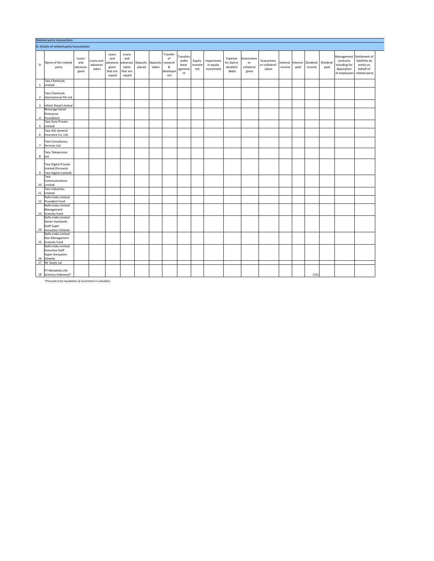|                         | <b>Related party transactions</b>                          |                                   |                                |                                                         |                                                         |                    |                   |                                                    |                                              |                          |                                       |                                            |                                         |                                      |                    |                  |                    |                  |                                                                        |                                                                            |  |
|-------------------------|------------------------------------------------------------|-----------------------------------|--------------------------------|---------------------------------------------------------|---------------------------------------------------------|--------------------|-------------------|----------------------------------------------------|----------------------------------------------|--------------------------|---------------------------------------|--------------------------------------------|-----------------------------------------|--------------------------------------|--------------------|------------------|--------------------|------------------|------------------------------------------------------------------------|----------------------------------------------------------------------------|--|
|                         | <b>B. Details of related party transactions</b>            |                                   |                                |                                                         |                                                         |                    |                   |                                                    |                                              |                          |                                       |                                            |                                         |                                      |                    |                  |                    |                  |                                                                        |                                                                            |  |
| Sr                      | Name of the related<br>party                               | Loans<br>and<br>advances<br>given | Loans and<br>advances<br>taken | Loans<br>and<br>advances<br>given<br>that are<br>repaid | Loans<br>and<br>advances<br>taken<br>that are<br>repaid | Deposits<br>placed | Deposits<br>taken | Transfer<br>of<br>research<br>&<br>developm<br>ent | Transfers<br>under<br>lease<br>agreeme<br>nt | Equity<br>investm<br>ent | Impairment<br>in equity<br>investment | Expense<br>for bad or<br>doubtful<br>debts | Guarantees<br>or<br>collateral<br>given | Guarantees<br>or collateral<br>taken | Interest<br>income | Interest<br>paid | Dividend<br>income | Dividend<br>paid | Management<br>contracts<br>including for<br>deputation<br>of employees | Settlement of<br>liabilities by<br>entity on<br>behalf of<br>related party |  |
|                         | <b>Tata Chemicals</b>                                      |                                   |                                |                                                         |                                                         |                    |                   |                                                    |                                              |                          |                                       |                                            |                                         |                                      |                    |                  |                    |                  |                                                                        |                                                                            |  |
| $\mathbf{1}$            | Limited                                                    |                                   |                                |                                                         |                                                         |                    |                   |                                                    |                                              |                          |                                       |                                            |                                         |                                      |                    |                  |                    |                  |                                                                        |                                                                            |  |
| $\overline{2}$          | <b>Tata Chemicals</b><br>International Pte Ltd             |                                   |                                |                                                         |                                                         |                    |                   |                                                    |                                              |                          |                                       |                                            |                                         |                                      |                    |                  |                    |                  |                                                                        |                                                                            |  |
| $\overline{\mathbf{3}}$ | Infiniti Retail Limited                                    |                                   |                                |                                                         |                                                         |                    |                   |                                                    |                                              |                          |                                       |                                            |                                         |                                      |                    |                  |                    |                  |                                                                        |                                                                            |  |
| $\overline{4}$          | <b>Ncourage Social</b><br>Enterprise<br>Foundation         |                                   |                                |                                                         |                                                         |                    |                   |                                                    |                                              |                          |                                       |                                            |                                         |                                      |                    |                  |                    |                  |                                                                        |                                                                            |  |
| 5                       | <b>Tata Sons Private</b><br>Limited                        |                                   |                                |                                                         |                                                         |                    |                   |                                                    |                                              |                          |                                       |                                            |                                         |                                      |                    |                  |                    |                  |                                                                        |                                                                            |  |
| 6                       | Tata AIG General<br>Insurance Co. Ltd.                     |                                   |                                |                                                         |                                                         |                    |                   |                                                    |                                              |                          |                                       |                                            |                                         |                                      |                    |                  |                    |                  |                                                                        |                                                                            |  |
|                         | <b>Tata Consultancy</b><br>7 Services Ltd.                 |                                   |                                |                                                         |                                                         |                    |                   |                                                    |                                              |                          |                                       |                                            |                                         |                                      |                    |                  |                    |                  |                                                                        |                                                                            |  |
|                         | <b>Tata Teleservices</b>                                   |                                   |                                |                                                         |                                                         |                    |                   |                                                    |                                              |                          |                                       |                                            |                                         |                                      |                    |                  |                    |                  |                                                                        |                                                                            |  |
| 8                       | Ltd.                                                       |                                   |                                |                                                         |                                                         |                    |                   |                                                    |                                              |                          |                                       |                                            |                                         |                                      |                    |                  |                    |                  |                                                                        |                                                                            |  |
|                         | <b>Tata Digital Private</b><br>Limited (formerly           |                                   |                                |                                                         |                                                         |                    |                   |                                                    |                                              |                          |                                       |                                            |                                         |                                      |                    |                  |                    |                  |                                                                        |                                                                            |  |
| 9                       | Tata Digital Limited)<br>Tata                              |                                   |                                |                                                         |                                                         |                    |                   |                                                    |                                              |                          |                                       |                                            |                                         |                                      |                    |                  |                    |                  |                                                                        |                                                                            |  |
| 10                      | Communications<br>Limited                                  |                                   |                                |                                                         |                                                         |                    |                   |                                                    |                                              |                          |                                       |                                            |                                         |                                      |                    |                  |                    |                  |                                                                        |                                                                            |  |
| 11                      | Tata Industries<br>Limited                                 |                                   |                                |                                                         |                                                         |                    |                   |                                                    |                                              |                          |                                       |                                            |                                         |                                      |                    |                  |                    |                  |                                                                        |                                                                            |  |
|                         | Rallis India Limited                                       |                                   |                                |                                                         |                                                         |                    |                   |                                                    |                                              |                          |                                       |                                            |                                         |                                      |                    |                  |                    |                  |                                                                        |                                                                            |  |
|                         | 12 Provident Fund                                          |                                   |                                |                                                         |                                                         |                    |                   |                                                    |                                              |                          |                                       |                                            |                                         |                                      |                    |                  |                    |                  |                                                                        |                                                                            |  |
|                         | Rallis India Limited<br>Management<br>13 Gratuity Fund     |                                   |                                |                                                         |                                                         |                    |                   |                                                    |                                              |                          |                                       |                                            |                                         |                                      |                    |                  |                    |                  |                                                                        |                                                                            |  |
|                         | Rallis India Limited<br>Senior Assistants                  |                                   |                                |                                                         |                                                         |                    |                   |                                                    |                                              |                          |                                       |                                            |                                         |                                      |                    |                  |                    |                  |                                                                        |                                                                            |  |
| 14                      | <b>Staff Super</b><br><b>Annuation Scheme</b>              |                                   |                                |                                                         |                                                         |                    |                   |                                                    |                                              |                          |                                       |                                            |                                         |                                      |                    |                  |                    |                  |                                                                        |                                                                            |  |
|                         | Rallis India Limited<br>Non Management<br>15 Gratuity Fund |                                   |                                |                                                         |                                                         |                    |                   |                                                    |                                              |                          |                                       |                                            |                                         |                                      |                    |                  |                    |                  |                                                                        |                                                                            |  |
|                         | Rallis India Limited<br><b>Executive Staff</b>             |                                   |                                |                                                         |                                                         |                    |                   |                                                    |                                              |                          |                                       |                                            |                                         |                                      |                    |                  |                    |                  |                                                                        |                                                                            |  |
|                         | <b>Super Annuation</b><br>16 Scheme                        |                                   |                                |                                                         |                                                         |                    |                   |                                                    |                                              |                          |                                       |                                            |                                         |                                      |                    |                  |                    |                  |                                                                        |                                                                            |  |
|                         | 17 Mr Sanjiv Lal                                           |                                   |                                |                                                         |                                                         |                    |                   |                                                    |                                              |                          |                                       |                                            |                                         |                                      |                    |                  |                    |                  |                                                                        |                                                                            |  |
|                         | PT Metahelix Life                                          |                                   |                                |                                                         |                                                         |                    |                   |                                                    |                                              |                          |                                       |                                            |                                         |                                      |                    |                  |                    |                  |                                                                        |                                                                            |  |
|                         | 18 Sciences Indonesia*                                     |                                   |                                |                                                         |                                                         |                    |                   |                                                    |                                              |                          |                                       |                                            |                                         |                                      |                    |                  | 0.61               |                  |                                                                        |                                                                            |  |

\**Proceeds from liquidation of investment in subsidiary*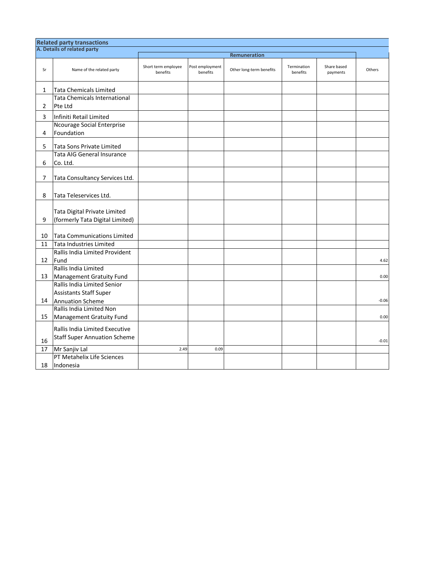| <b>Related party transactions</b> |                                                                 |                                 |                             |                          |                         |                         |         |  |  |  |
|-----------------------------------|-----------------------------------------------------------------|---------------------------------|-----------------------------|--------------------------|-------------------------|-------------------------|---------|--|--|--|
|                                   | A. Details of related party                                     |                                 |                             | Remuneration             |                         |                         |         |  |  |  |
| Sr                                | Name of the related party                                       | Short term employee<br>benefits | Post employment<br>benefits | Other long-term benefits | Termination<br>benefits | Share based<br>payments | Others  |  |  |  |
| 1                                 | Tata Chemicals Limited                                          |                                 |                             |                          |                         |                         |         |  |  |  |
| 2                                 | <b>Tata Chemicals International</b><br>Pte Ltd                  |                                 |                             |                          |                         |                         |         |  |  |  |
| 3                                 | Infiniti Retail Limited                                         |                                 |                             |                          |                         |                         |         |  |  |  |
| 4                                 | <b>Ncourage Social Enterprise</b><br>Foundation                 |                                 |                             |                          |                         |                         |         |  |  |  |
| 5                                 | <b>Tata Sons Private Limited</b>                                |                                 |                             |                          |                         |                         |         |  |  |  |
| 6                                 | <b>Tata AIG General Insurance</b><br>Co. Ltd.                   |                                 |                             |                          |                         |                         |         |  |  |  |
| 7                                 | Tata Consultancy Services Ltd.                                  |                                 |                             |                          |                         |                         |         |  |  |  |
| 8                                 | Tata Teleservices Ltd.                                          |                                 |                             |                          |                         |                         |         |  |  |  |
| 9                                 | Tata Digital Private Limited<br>(formerly Tata Digital Limited) |                                 |                             |                          |                         |                         |         |  |  |  |
| 10                                | <b>Tata Communications Limited</b>                              |                                 |                             |                          |                         |                         |         |  |  |  |
| 11                                | <b>Tata Industries Limited</b>                                  |                                 |                             |                          |                         |                         |         |  |  |  |
| 12                                | Rallis India Limited Provident<br>Fund                          |                                 |                             |                          |                         |                         | 4.62    |  |  |  |
| 13                                | Rallis India Limited<br>Management Gratuity Fund                |                                 |                             |                          |                         |                         | 0.00    |  |  |  |
|                                   | Rallis India Limited Senior                                     |                                 |                             |                          |                         |                         |         |  |  |  |
| 14                                | <b>Assistants Staff Super</b><br><b>Annuation Scheme</b>        |                                 |                             |                          |                         |                         | $-0.06$ |  |  |  |
|                                   | Rallis India Limited Non                                        |                                 |                             |                          |                         |                         |         |  |  |  |
| 15                                | Management Gratuity Fund                                        |                                 |                             |                          |                         |                         | 0.00    |  |  |  |
|                                   | <b>Rallis India Limited Executive</b>                           |                                 |                             |                          |                         |                         |         |  |  |  |
| 16                                | <b>Staff Super Annuation Scheme</b>                             |                                 |                             |                          |                         |                         | $-0.01$ |  |  |  |
| 17                                | Mr Sanjiv Lal                                                   | 2.49                            | 0.09                        |                          |                         |                         |         |  |  |  |
|                                   | PT Metahelix Life Sciences                                      |                                 |                             |                          |                         |                         |         |  |  |  |
| 18                                | Indonesia                                                       |                                 |                             |                          |                         |                         |         |  |  |  |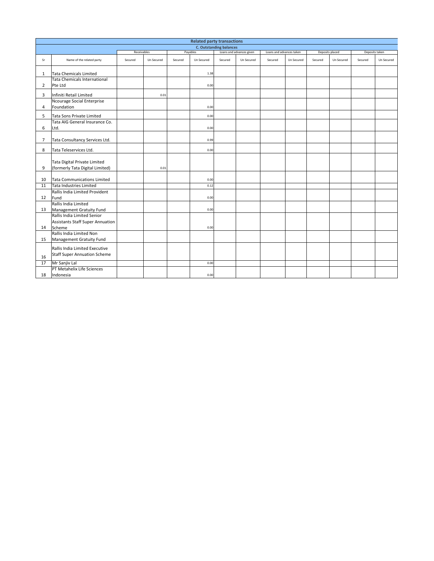|                | <b>Related party transactions</b>                                     |                                |            |         |            |         |                          |                          |            |                 |            |         |            |                |  |
|----------------|-----------------------------------------------------------------------|--------------------------------|------------|---------|------------|---------|--------------------------|--------------------------|------------|-----------------|------------|---------|------------|----------------|--|
|                |                                                                       | <b>C. Outstanding balances</b> |            |         |            |         |                          |                          |            |                 |            |         |            |                |  |
|                |                                                                       | Receivables                    |            |         | Payables   |         | Loans and advances given | Loans and advances taken |            | Deposits placed |            |         |            | Deposits taken |  |
| Sr             | Name of the related party                                             | Secured                        | Un Secured | Secured | Un Secured | Secured | Un Secured               | Secured                  | Un Secured | Secured         | Un Secured | Secured | Un Secured |                |  |
| 1              | <b>Tata Chemicals Limited</b>                                         |                                |            |         | 1.38       |         |                          |                          |            |                 |            |         |            |                |  |
| $\overline{2}$ | <b>Tata Chemicals International</b><br>Pte Ltd                        |                                |            |         | 0.00       |         |                          |                          |            |                 |            |         |            |                |  |
| 3              | Infiniti Retail Limited                                               |                                | 0.01       |         |            |         |                          |                          |            |                 |            |         |            |                |  |
| 4              | Ncourage Social Enterprise<br>Foundation                              |                                |            |         | 0.00       |         |                          |                          |            |                 |            |         |            |                |  |
| 5              | <b>Tata Sons Private Limited</b>                                      |                                |            |         | 0.00       |         |                          |                          |            |                 |            |         |            |                |  |
| 6              | Tata AIG General Insurance Co.<br>Ltd.                                |                                |            |         | 0.00       |         |                          |                          |            |                 |            |         |            |                |  |
| $\overline{7}$ | Tata Consultancy Services Ltd.                                        |                                |            |         | 0.99       |         |                          |                          |            |                 |            |         |            |                |  |
| 8              | Tata Teleservices Ltd.                                                |                                |            |         | 0.00       |         |                          |                          |            |                 |            |         |            |                |  |
| 9              | Tata Digital Private Limited<br>(formerly Tata Digital Limited)       |                                | 0.01       |         |            |         |                          |                          |            |                 |            |         |            |                |  |
| 10             | <b>Tata Communications Limited</b>                                    |                                |            |         | 0.00       |         |                          |                          |            |                 |            |         |            |                |  |
| 11             | Tata Industries Limited                                               |                                |            |         | 0.12       |         |                          |                          |            |                 |            |         |            |                |  |
| 12             | Rallis India Limited Provident<br>Fund                                |                                |            |         | 0.00       |         |                          |                          |            |                 |            |         |            |                |  |
| 13             | Rallis India Limited<br>Management Gratuity Fund                      |                                |            |         | 0.00       |         |                          |                          |            |                 |            |         |            |                |  |
|                | Rallis India Limited Senior<br>Assistants Staff Super Annuation       |                                |            |         | 0.00       |         |                          |                          |            |                 |            |         |            |                |  |
| 14             | Scheme<br>Rallis India Limited Non                                    |                                |            |         |            |         |                          |                          |            |                 |            |         |            |                |  |
| 15             | Management Gratuity Fund                                              |                                |            |         |            |         |                          |                          |            |                 |            |         |            |                |  |
| 16             | Rallis India Limited Executive<br><b>Staff Super Annuation Scheme</b> |                                |            |         |            |         |                          |                          |            |                 |            |         |            |                |  |
| 17             | Mr Sanjiv Lal                                                         |                                |            |         | 0.00       |         |                          |                          |            |                 |            |         |            |                |  |
|                | PT Metahelix Life Sciences                                            |                                |            |         |            |         |                          |                          |            |                 |            |         |            |                |  |
| 18             | Indonesia                                                             |                                |            |         | 0.00       |         |                          |                          |            |                 |            |         |            |                |  |